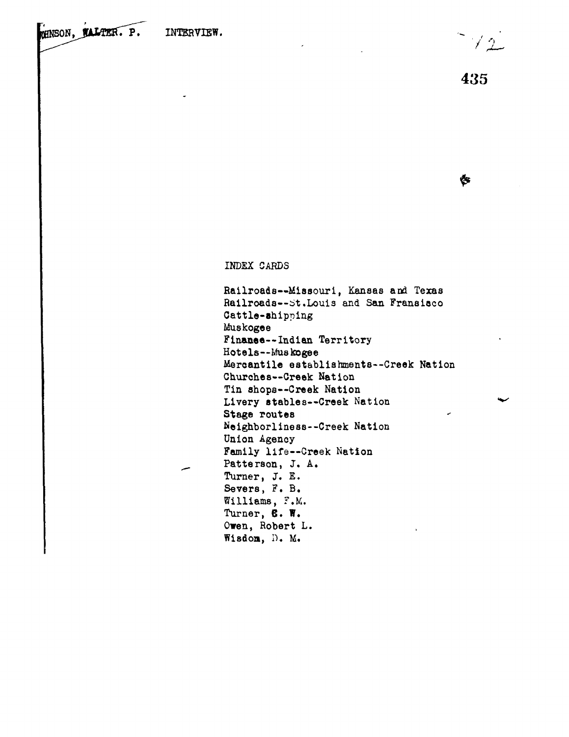$\sqrt{2}$ 

Ġ

INDEX CARDS

Railroads— Missouri, Kansas and Texas Railroads--St.Louis and San Fransisco Cattle-shipping Muskogee Finaaee--Indian Territory Hotels—Muskogee Mercantile establishment8--Creek Nation Churches—Creek Nation Tin shopa--Creek Nation Livery stables—Creek Nation Stage routes Neighborlines8--Creek Nation Union Agency Family life—Creek Nation Patterson, J. A. Turner, J. E. Severs, F. B. Williams, F.M. Turner, 6. W. Owen, Robert L. Wisdon, D. M.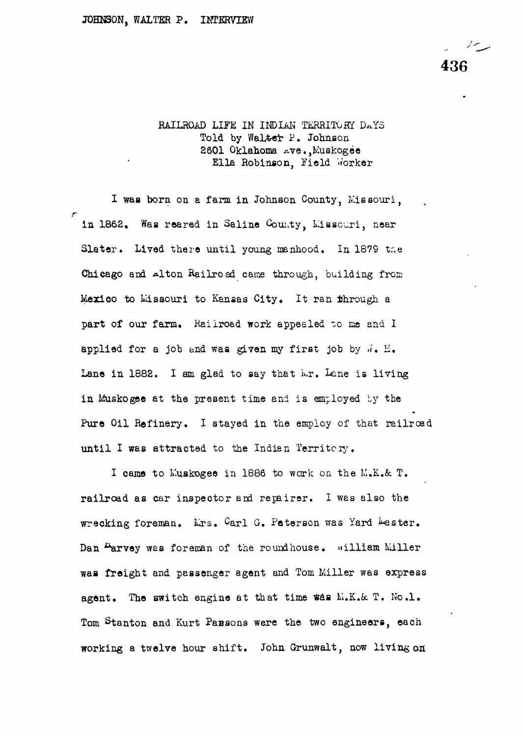436

RAILROAD LIFE IN INDIAN TERRITORY DAYS Told by Walter P. Johnson 2601 Oklahoma Ave.,Kuskogee Ella Robinson, Field Worker

I was born on a farm in Johnson County, Missouri, in 1862. Was reared in Saline County, Missouri, near Slater. Lived there until young manhood. In 1879 tne Chicago and Alton Railroad came through, building from Mexico to Missouri to Kansas City. It ran through a part of our farm. Railroad work appealed to me and I applied for a job and was given my first job by  $\vec{a}$ . H. Lane in 1882. I am glad to say that Mr. Lane is living in Muskogee at the present time and is employed by the Pure Oil Refinery. I stayed in the employ of that railroad until I was attracted to the Indian Territory.

I came to Muskogee in 1886 to work on the M.K.& T. railroad as car inspector and repairer. I was also the wrecking foreman. Lrs. Carl G. Paterson was Yard bester. Dan Parvey was foreman of the roundhouse. william Miller was freight and passenger agent and Tom Miller was express agent. The switch engine at that time was  $M_{\bullet}K_{\bullet}\&$  T. No.1. Tom Stanton and Kurt Parsons were the two engineers, each working a twelve hour shift. John Grunwalt, now living on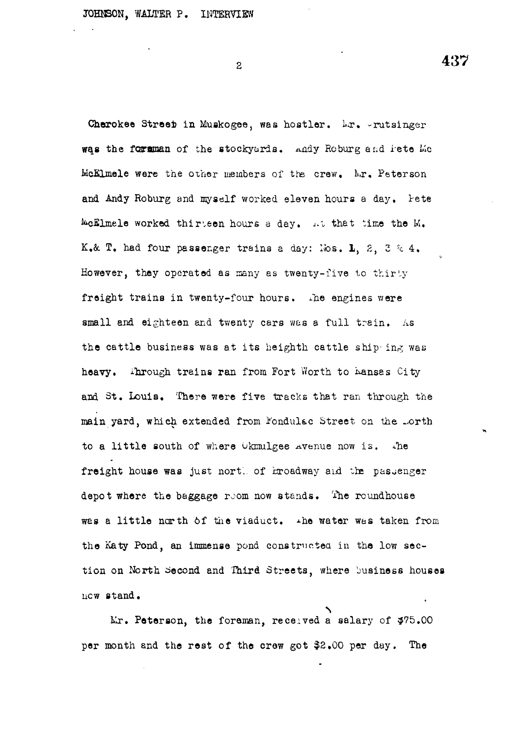$\overline{2}$ 

Cherokee Street in Muskogee, was hostler. Lr. -rutsinger was the forman of the stockyards. Andy Roburg and lete Mc McElmele were the other members of the crew. Mr. Peterson and Andy Roburg and myself worked eleven hours a day. Pete ^cfilmele worked thirteen hours a day« *J-1* that time the M. K.& T. had four passenger trains a day: los. 1, 2, 3 % 4. However, they operated as many as twenty-five to thirty freight trains in twenty-four hours. The engines were small and eighteen and twenty cars was a full train. As the cattle business was at its heighth cattle ship ing was heavy. ihrough trains ran from Fort Worth to hansas City and St. Louis, There were five tracks that ran through the main yard, which extended from Fondulac Street on the .orth to a little south of where Okmulgee avenue now is. The freight house was just nort. of hroadway *aid* the passenger depot where the baggage room now stands. The roundhouse was a little north of the viaduct.  $\rightarrow$ he water was taken from the Katy Pond, an immense pond constructed in the low section on North Second and Third Streets, where business houses new stand,

Mr. Peterson, the foreman, received a salary of \$75.00 per month and the rest of the crew got \$2,00 per day. The

437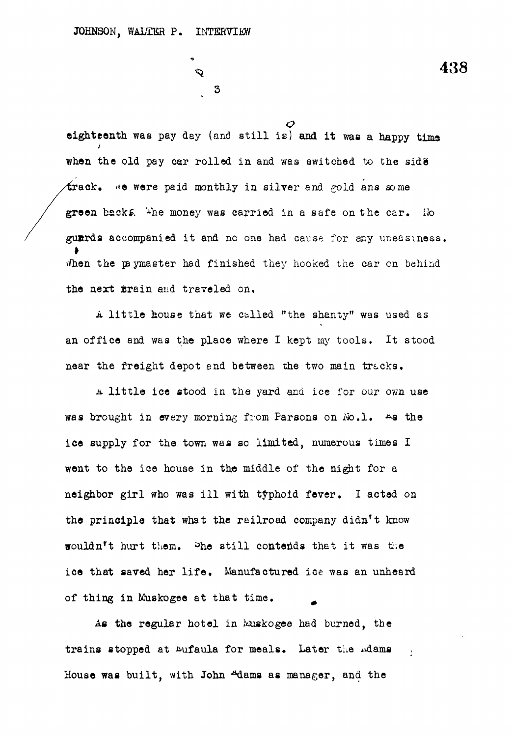$\mathbf{3}$ 

**o eighteenth was** pay day (and still **is) and it waa a happy tims** when the old pay car rolled in and was switched to the side frack. We were paid monthly in silver and pold ans some green backs. <sup>The</sup> money was carried in a safe on the car. Ho guards accompanied it and no one had cause for any uneasiness. When the paymaster had finished they hooked the car on behind the next frain and traveled on.

A little house that we called "the shanty" was used as an office and was the place where I kept my tools. It stood near the freight depot and between the two main tracks.

a little ice stood in the yard and ice for our own use was brought in every morning from Parsons on  $N_0, 1$ . As the ice supply for the town was so limited, numerous times I went to the ice house in the middle of the night for a neighbor girl who was ill with typhoid fever. I acted on the principle that what the railroad company didn't know wouldn't hurt them. She still contends that it was the wouldn't them, it was the means that it was the means that it was the still like that it was the still like th ice that saved her life . Manufactured ice was an unheard

of thing in Muskogee at that time. ^ trains stopped at Eufaula for meals. Later the Adams . House was built, with John <sup>Adams</sup> as manager, and the

 $\ddot{\phantom{1}}$  438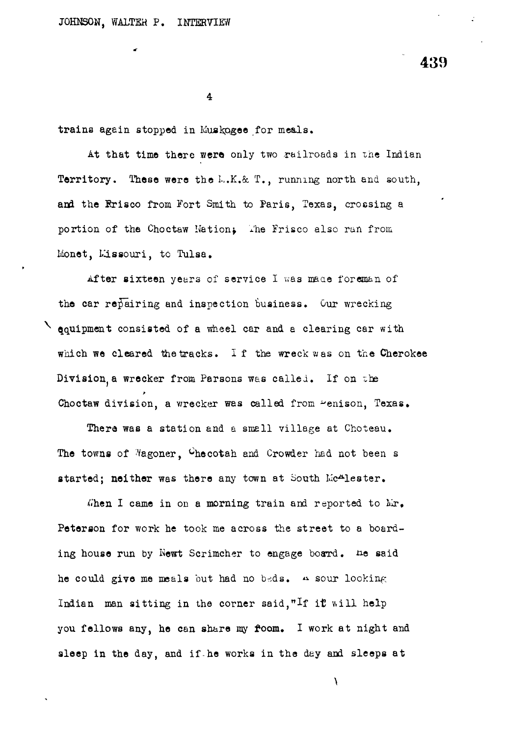**439**

**4**

trains again stopped in Muakpgee for meals.

At that time there were only two railroads in the Indian Territory. These were the L.K.& T., running north and south, and the Rrisco from Fort Smith to Paris, Texas, crossing a portion of the Choctaw Nation; The Frisco also ran from Monet, Lissouri, to Tulsa.

After sixteen years of service I was made foreman of the car repairing and inspection business. Our wrecking  $\searrow$  equipment consisted of a wheel car and a clearing car with which we cleared the tracks. If the wreck was on the Cherokee Division, a wrecker from Parsons was called. If on the Choctaw division, a wrecker was called from "enison, Texas.

There was a station and a small village at Choteau. The towns of Magoner,  $C$ hecotah and Crowder had not been s started; neither was there any town at South Mc<sup>A</sup>lester.

When I came in on a morning train and reported to  $Mr_{\bullet}$ Peterson for work he took me across the street to a boarding house run by Newt Scrimcher to engage board. he said he could give me meals but had no beds.  $\alpha$  sour looking Indian man sitting in the corner said, "If it will help you fellows any, he can share my foom. I work at night and sleep in the day, and if he works in the day and sleeps at

 $\boldsymbol{\lambda}$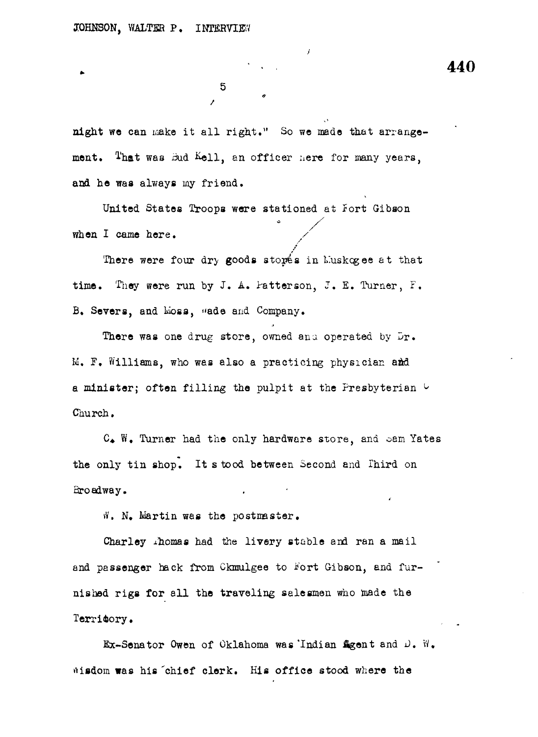night we can make it all right." So we made that arrangement. That was Bud Kell, an officer here for many years, and he was always my friend.

5

*i*

United States Troops were stationed at fort Gibson when I came here.

There were four dry goods storés in Luskogee at that time. They were run by J. A. Patterson, J. E. Turner, F. B. Severs, and Lioss, «ade and Company.

There was one drug store, owned and operated by Dr. M. P. Williams, who was also a practicing physician add a minister; often filling the pulpit at the Presbyterian  $\cup$ Church.

C. W. Turner had the only hardware store, and oam Yates the only tin shop. It s tood between Second and Third on Broadway.

*fl,* N, Martin was the postmaster.

Charley Aomas had the livery stable and ran a mail and passenger hack from Ckmulgee to Fort Gibson, and furnished rigs for all the traveling salesmen who made the Territory.

Ex-Senator Owen of Oklahoma was'Indian Agent and J. W. wisdom was his chief clerk. His office stood where the